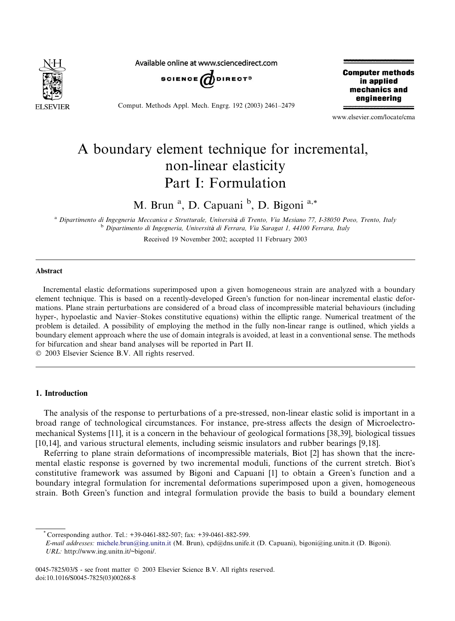

Available online at www.sciencedirect.com



Comput. Methods Appl. Mech. Engrg. 192 (2003) 2461–2479

**Computer methods** in applied mechanics and engineering

www.elsevier.com/locate/cma

# A boundary element technique for incremental, non-linear elasticity Part I: Formulation

M. Brun<sup>a</sup>, D. Capuani<sup>b</sup>, D. Bigoni<sup>a,\*</sup>

<sup>a</sup> Dipartimento di Ingegneria Meccanica e Strutturale, Università di Trento, Via Mesiano 77, I-38050 Povo, Trento, Italy <sup>b</sup> Dipartimento di Ingegneria, Università di Ferrara, Via Saragat 1, 44100 Ferrara, Italy

Received 19 November 2002; accepted 11 February 2003

## Abstract

Incremental elastic deformations superimposed upon a given homogeneous strain are analyzed with a boundary element technique. This is based on a recently-developed Green's function for non-linear incremental elastic deformations. Plane strain perturbations are considered of a broad class of incompressible material behaviours (including hyper-, hypoelastic and Navier–Stokes constitutive equations) within the elliptic range. Numerical treatment of the problem is detailed. A possibility of employing the method in the fully non-linear range is outlined, which yields a boundary element approach where the use of domain integrals is avoided, at least in a conventional sense. The methods for bifurcation and shear band analyses will be reported in Part II.

2003 Elsevier Science B.V. All rights reserved.

### 1. Introduction

The analysis of the response to perturbations of a pre-stressed, non-linear elastic solid is important in a broad range of technological circumstances. For instance, pre-stress affects the design of Microelectromechanical Systems [11], it is a concern in the behaviour of geological formations [38,39], biological tissues [10,14], and various structural elements, including seismic insulators and rubber bearings [9,18].

Referring to plane strain deformations of incompressible materials, Biot [2] has shown that the incremental elastic response is governed by two incremental moduli, functions of the current stretch. Biot's constitutive framework was assumed by Bigoni and Capuani [1] to obtain a Green's function and a boundary integral formulation for incremental deformations superimposed upon a given, homogeneous strain. Both Green's function and integral formulation provide the basis to build a boundary element

Corresponding author. Tel.: +39-0461-882-507; fax: +39-0461-882-599.

E-mail addresses: [michele.brun@ing.unitn.it](mail to: michele.brun@ing.unitn.it) (M. Brun), cpd@dns.unife.it (D. Capuani), bigoni@ing.unitn.it (D. Bigoni). URL: http://www.ing.unitn.it/~bigoni/.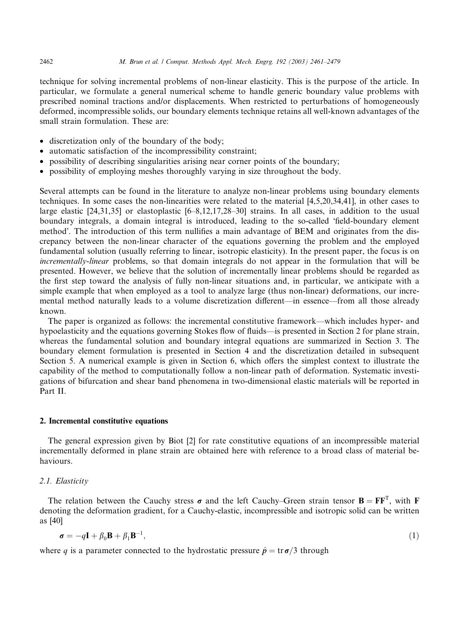technique for solving incremental problems of non-linear elasticity. This is the purpose of the article. In particular, we formulate a general numerical scheme to handle generic boundary value problems with prescribed nominal tractions and/or displacements. When restricted to perturbations of homogeneously deformed, incompressible solids, our boundary elements technique retains all well-known advantages of the small strain formulation. These are:

- discretization only of the boundary of the body;
- automatic satisfaction of the incompressibility constraint;
- possibility of describing singularities arising near corner points of the boundary;
- possibility of employing meshes thoroughly varying in size throughout the body.

Several attempts can be found in the literature to analyze non-linear problems using boundary elements techniques. In some cases the non-linearities were related to the material [4,5,20,34,41], in other cases to large elastic [24,31,35] or elastoplastic [6–8,12,17,28–30] strains. In all cases, in addition to the usual boundary integrals, a domain integral is introduced, leading to the so-called -field-boundary element method. The introduction of this term nullifies a main advantage of BEM and originates from the discrepancy between the non-linear character of the equations governing the problem and the employed fundamental solution (usually referring to linear, isotropic elasticity). In the present paper, the focus is on incrementally-linear problems, so that domain integrals do not appear in the formulation that will be presented. However, we believe that the solution of incrementally linear problems should be regarded as the first step toward the analysis of fully non-linear situations and, in particular, we anticipate with a simple example that when employed as a tool to analyze large (thus non-linear) deformations, our incremental method naturally leads to a volume discretization different––in essence––from all those already known.

The paper is organized as follows: the incremental constitutive framework––which includes hyper- and hypoelasticity and the equations governing Stokes flow of fluids––is presented in Section 2 for plane strain, whereas the fundamental solution and boundary integral equations are summarized in Section 3. The boundary element formulation is presented in Section 4 and the discretization detailed in subsequent Section 5. A numerical example is given in Section 6, which offers the simplest context to illustrate the capability of the method to computationally follow a non-linear path of deformation. Systematic investigations of bifurcation and shear band phenomena in two-dimensional elastic materials will be reported in Part II.

### 2. Incremental constitutive equations

The general expression given by Biot [2] for rate constitutive equations of an incompressible material incrementally deformed in plane strain are obtained here with reference to a broad class of material behaviours.

## 2.1. Elasticity

The relation between the Cauchy stress  $\sigma$  and the left Cauchy–Green strain tensor  $\mathbf{B} = \mathbf{F}\mathbf{F}^T$ , with F denoting the deformation gradient, for a Cauchy-elastic, incompressible and isotropic solid can be written as [40]

$$
\boldsymbol{\sigma} = -q\mathbf{I} + \beta_0 \mathbf{B} + \beta_1 \mathbf{B}^{-1},\tag{1}
$$

where q is a parameter connected to the hydrostatic pressure  $\hat{p} = \text{tr} \sigma/3$  through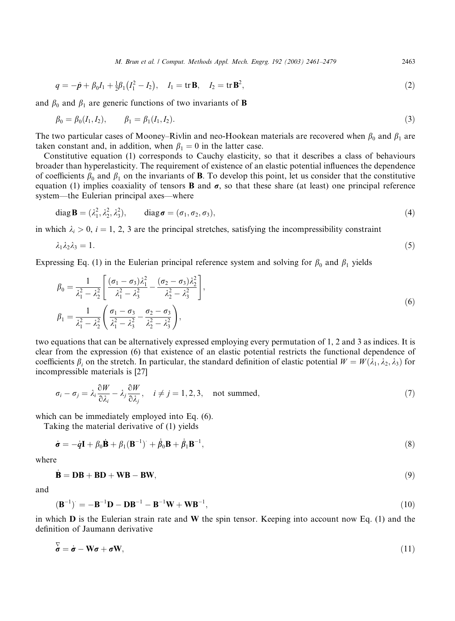M. Brun et al. / Comput. Methods Appl. Mech. Engrg. 192 (2003) 2461–2479 2463

$$
q = -\hat{p} + \beta_0 I_1 + \frac{1}{2}\beta_1 (I_1^2 - I_2), \quad I_1 = \text{tr } \mathbf{B}, \quad I_2 = \text{tr } \mathbf{B}^2,
$$
 (2)

and  $\beta_0$  and  $\beta_1$  are generic functions of two invariants of **B** 

$$
\beta_0 = \beta_0(I_1, I_2), \qquad \beta_1 = \beta_1(I_1, I_2). \tag{3}
$$

The two particular cases of Mooney–Rivlin and neo-Hookean materials are recovered when  $\beta_0$  and  $\beta_1$  are taken constant and, in addition, when  $\beta_1 = 0$  in the latter case.

Constitutive equation (1) corresponds to Cauchy elasticity, so that it describes a class of behaviours broader than hyperelasticity. The requirement of existence of an elastic potential influences the dependence of coefficients  $\beta_0$  and  $\beta_1$  on the invariants of **B**. To develop this point, let us consider that the constitutive equation (1) implies coaxiality of tensors **B** and  $\sigma$ , so that these share (at least) one principal reference system––the Eulerian principal axes––where

$$
\operatorname{diag} \mathbf{B} = (\lambda_1^2, \lambda_2^2, \lambda_3^2), \qquad \operatorname{diag} \boldsymbol{\sigma} = (\sigma_1, \sigma_2, \sigma_3), \tag{4}
$$

in which  $\lambda_i > 0$ ,  $i = 1, 2, 3$  are the principal stretches, satisfying the incompressibility constraint

$$
\lambda_1 \lambda_2 \lambda_3 = 1. \tag{5}
$$

Expressing Eq. (1) in the Eulerian principal reference system and solving for  $\beta_0$  and  $\beta_1$  yields

$$
\beta_0 = \frac{1}{\lambda_1^2 - \lambda_2^2} \left[ \frac{(\sigma_1 - \sigma_3)\lambda_1^2}{\lambda_1^2 - \lambda_3^2} - \frac{(\sigma_2 - \sigma_3)\lambda_2^2}{\lambda_2^2 - \lambda_3^2} \right],
$$
  
\n
$$
\beta_1 = \frac{1}{\lambda_1^2 - \lambda_2^2} \left( \frac{\sigma_1 - \sigma_3}{\lambda_1^2 - \lambda_3^2} - \frac{\sigma_2 - \sigma_3}{\lambda_2^2 - \lambda_3^2} \right),
$$
\n(6)

two equations that can be alternatively expressed employingevery permutation of 1, 2 and 3 as indices. It is clear from the expression (6) that existence of an elastic potential restricts the functional dependence of coefficients  $\beta_i$  on the stretch. In particular, the standard definition of elastic potential  $W = W(\lambda_1, \lambda_2, \lambda_3)$  for incompressible materials is [27]

$$
\sigma_i - \sigma_j = \lambda_i \frac{\partial W}{\partial \lambda_i} - \lambda_j \frac{\partial W}{\partial \lambda_j}, \quad i \neq j = 1, 2, 3, \quad \text{not summed}, \tag{7}
$$

which can be immediately employed into Eq. (6).

Taking the material derivative of  $(1)$  yields

$$
\dot{\boldsymbol{\sigma}} = -\dot{\boldsymbol{q}}\mathbf{I} + \beta_0 \dot{\mathbf{B}} + \beta_1 (\mathbf{B}^{-1}) + \dot{\beta}_0 \mathbf{B} + \dot{\beta}_1 \mathbf{B}^{-1},\tag{8}
$$

where

$$
\dot{\mathbf{B}} = \mathbf{DB} + \mathbf{BD} + \mathbf{WB} - \mathbf{BW},\tag{9}
$$

and

$$
(\mathbf{B}^{-1})^{\cdot} = -\mathbf{B}^{-1}\mathbf{D} - \mathbf{D}\mathbf{B}^{-1} - \mathbf{B}^{-1}\mathbf{W} + \mathbf{W}\mathbf{B}^{-1},\tag{10}
$$

in which  $\bf{D}$  is the Eulerian strain rate and  $\bf{W}$  the spin tensor. Keeping into account now Eq. (1) and the definition of Jaumann derivative

$$
\overline{\mathbf{\sigma}} = \dot{\mathbf{\sigma}} - \mathbf{W}\mathbf{\sigma} + \mathbf{\sigma}\mathbf{W},\tag{11}
$$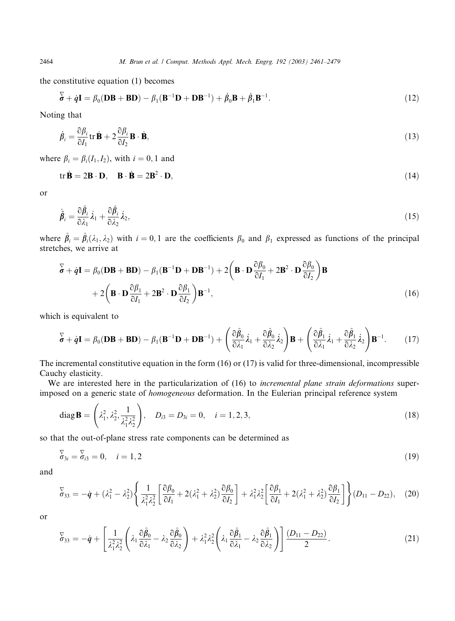the constitutive equation (1) becomes

$$
\overline{\boldsymbol{\sigma}} + \dot{\boldsymbol{q}} \mathbf{I} = \beta_0 (\mathbf{DB} + \mathbf{BD}) - \beta_1 (\mathbf{B}^{-1} \mathbf{D} + \mathbf{DB}^{-1}) + \dot{\beta}_0 \mathbf{B} + \dot{\beta}_1 \mathbf{B}^{-1}.
$$
 (12)

Noting that

$$
\dot{\beta}_i = \frac{\partial \beta_i}{\partial I_1} \text{tr} \, \dot{\mathbf{B}} + 2 \frac{\partial \beta_i}{\partial I_2} \mathbf{B} \cdot \dot{\mathbf{B}},\tag{13}
$$

where  $\beta_i = \beta_i(I_1, I_2)$ , with  $i = 0, 1$  and

$$
\mathbf{tr}\,\dot{\mathbf{B}} = 2\mathbf{B}\cdot\mathbf{D}, \quad \mathbf{B}\cdot\dot{\mathbf{B}} = 2\mathbf{B}^2\cdot\mathbf{D},\tag{14}
$$

or

$$
\hat{\boldsymbol{\beta}}_i = \frac{\partial \hat{\beta}_i}{\partial \lambda_1} \dot{\lambda}_1 + \frac{\partial \hat{\beta}_i}{\partial \lambda_2} \dot{\lambda}_2,\tag{15}
$$

where  $\hat{\beta}_i = \hat{\beta}_i(\lambda_1, \lambda_2)$  with  $i = 0, 1$  are the coefficients  $\beta_0$  and  $\beta_1$  expressed as functions of the principal stretches, we arrive at

$$
\overline{\mathbf{b}} + \dot{\mathbf{q}} \mathbf{I} = \beta_0 (\mathbf{DB} + \mathbf{BD}) - \beta_1 (\mathbf{B}^{-1} \mathbf{D} + \mathbf{DB}^{-1}) + 2 \left( \mathbf{B} \cdot \mathbf{D} \frac{\partial \beta_0}{\partial I_1} + 2 \mathbf{B}^2 \cdot \mathbf{D} \frac{\partial \beta_0}{\partial I_2} \right) \mathbf{B} + 2 \left( \mathbf{B} \cdot \mathbf{D} \frac{\partial \beta_1}{\partial I_1} + 2 \mathbf{B}^2 \cdot \mathbf{D} \frac{\partial \beta_1}{\partial I_2} \right) \mathbf{B}^{-1},
$$
\n(16)

which is equivalent to

$$
\overline{\mathbf{\sigma}} + \dot{\mathbf{q}} \mathbf{I} = \beta_0 (\mathbf{DB} + \mathbf{BD}) - \beta_1 (\mathbf{B}^{-1} \mathbf{D} + \mathbf{DB}^{-1}) + \left( \frac{\partial \hat{\beta}_0}{\partial \lambda_1} \dot{\lambda}_1 + \frac{\partial \hat{\beta}_0}{\partial \lambda_2} \dot{\lambda}_2 \right) \mathbf{B} + \left( \frac{\partial \hat{\beta}_1}{\partial \lambda_1} \dot{\lambda}_1 + \frac{\partial \hat{\beta}_1}{\partial \lambda_2} \dot{\lambda}_2 \right) \mathbf{B}^{-1}.
$$
 (17)

The incremental constitutive equation in the form (16) or (17) is valid for three-dimensional, incompressible Cauchy elasticity.

We are interested here in the particularization of (16) to *incremental plane strain deformations* superimposed on a generic state of homogeneous deformation. In the Eulerian principal reference system

diag **B** = 
$$
\left(\lambda_1^2, \lambda_2^2, \frac{1}{\lambda_1^2 \lambda_2^2}\right)
$$
,  $D_{i3} = D_{3i} = 0$ ,  $i = 1, 2, 3$ ,  $(18)$ 

so that the out-of-plane stress rate components can be determined as

$$
\overline{\sigma}_{3i} = \overline{\sigma}_{i3} = 0, \quad i = 1, 2 \tag{19}
$$

and

$$
\overline{\delta}_{33} = -\dot{\boldsymbol{q}} + (\lambda_1^2 - \lambda_2^2) \left\{ \frac{1}{\lambda_1^2 \lambda_2^2} \left[ \frac{\partial \beta_0}{\partial I_1} + 2(\lambda_1^2 + \lambda_2^2) \frac{\partial \beta_0}{\partial I_2} \right] + \lambda_1^2 \lambda_2^2 \left[ \frac{\partial \beta_1}{\partial I_1} + 2(\lambda_1^2 + \lambda_2^2) \frac{\partial \beta_1}{\partial I_2} \right] \right\} (D_{11} - D_{22}), \quad (20)
$$

or

$$
\overline{\mathbf{v}}_{33} = -\dot{\mathbf{q}} + \left[ \frac{1}{\lambda_1^2 \lambda_2^2} \left( \lambda_1 \frac{\partial \hat{\beta}_0}{\partial \lambda_1} - \lambda_2 \frac{\partial \hat{\beta}_0}{\partial \lambda_2} \right) + \lambda_1^2 \lambda_2^2 \left( \lambda_1 \frac{\partial \hat{\beta}_1}{\partial \lambda_1} - \lambda_2 \frac{\partial \hat{\beta}_1}{\partial \lambda_2} \right) \right] \frac{(D_{11} - D_{22})}{2}.
$$
\n(21)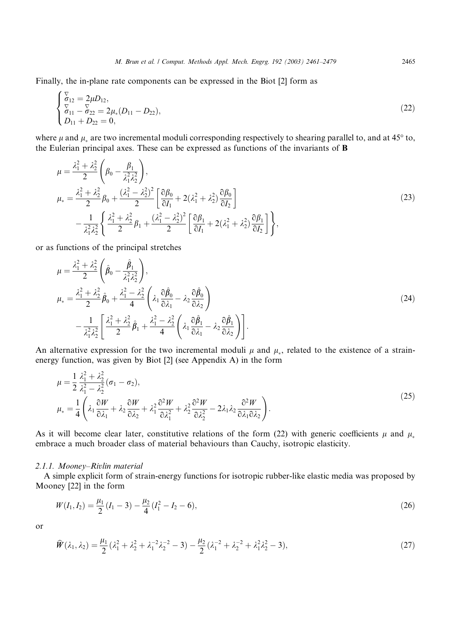Finally, the in-plane rate components can be expressed in the Biot [2] form as

$$
\begin{cases} \n\overline{\sigma}_{12} = 2\mu D_{12}, \\ \n\overline{\sigma}_{11} - \overline{\sigma}_{22} = 2\mu_*(D_{11} - D_{22}), \\ \nD_{11} + D_{22} = 0, \n\end{cases} \tag{22}
$$

where  $\mu$  and  $\mu_*$  are two incremental moduli corresponding respectively to shearing parallel to, and at 45 $\degree$  to, the Eulerian principal axes. These can be expressed as functions of the invariants of B

$$
\mu = \frac{\lambda_1^2 + \lambda_2^2}{2} \left( \beta_0 - \frac{\beta_1}{\lambda_1^2 \lambda_2^2} \right),
$$
\n
$$
\mu_* = \frac{\lambda_1^2 + \lambda_2^2}{2} \beta_0 + \frac{(\lambda_1^2 - \lambda_2^2)^2}{2} \left[ \frac{\partial \beta_0}{\partial I_1} + 2(\lambda_1^2 + \lambda_2^2) \frac{\partial \beta_0}{\partial I_2} \right]
$$
\n
$$
- \frac{1}{\lambda_1^2 \lambda_2^2} \left\{ \frac{\lambda_1^2 + \lambda_2^2}{2} \beta_1 + \frac{(\lambda_1^2 - \lambda_2^2)^2}{2} \left[ \frac{\partial \beta_1}{\partial I_1} + 2(\lambda_1^2 + \lambda_2^2) \frac{\partial \beta_1}{\partial I_2} \right] \right\},
$$
\n(23)

or as functions of the principal stretches

$$
\mu = \frac{\lambda_1^2 + \lambda_2^2}{2} \left( \hat{\beta}_0 - \frac{\hat{\beta}_1}{\lambda_1^2 \lambda_2^2} \right),
$$
  
\n
$$
\mu_* = \frac{\lambda_1^2 + \lambda_2^2}{2} \hat{\beta}_0 + \frac{\lambda_1^2 - \lambda_2^2}{4} \left( \lambda_1 \frac{\partial \hat{\beta}_0}{\partial \lambda_1} - \lambda_2 \frac{\partial \hat{\beta}_0}{\partial \lambda_2} \right)
$$
  
\n
$$
- \frac{1}{\lambda_1^2 \lambda_2^2} \left[ \frac{\lambda_1^2 + \lambda_2^2}{2} \hat{\beta}_1 + \frac{\lambda_1^2 - \lambda_2^2}{4} \left( \lambda_1 \frac{\partial \hat{\beta}_1}{\partial \lambda_1} - \lambda_2 \frac{\partial \hat{\beta}_1}{\partial \lambda_2} \right) \right].
$$
\n(24)

An alternative expression for the two incremental moduli  $\mu$  and  $\mu_*$ , related to the existence of a strainenergy function, was given by Biot [2] (see Appendix A) in the form

$$
\mu = \frac{1}{2} \frac{\lambda_1^2 + \lambda_2^2}{\lambda_1^2 - \lambda_2^2} (\sigma_1 - \sigma_2),
$$
  
\n
$$
\mu_* = \frac{1}{4} \left( \lambda_1 \frac{\partial W}{\partial \lambda_1} + \lambda_2 \frac{\partial W}{\partial \lambda_2} + \lambda_1^2 \frac{\partial^2 W}{\partial \lambda_1^2} + \lambda_2^2 \frac{\partial^2 W}{\partial \lambda_2^2} - 2\lambda_1 \lambda_2 \frac{\partial^2 W}{\partial \lambda_1 \partial \lambda_2} \right).
$$
\n(25)

As it will become clear later, constitutive relations of the form (22) with generic coefficients  $\mu$  and  $\mu_*$ embrace a much broader class of material behaviours than Cauchy, isotropic elasticity.

#### 2.1.1. Mooney–Rivlin material

A simple explicit form of strain-energy functions for isotropic rubber-like elastic media was proposed by Mooney [22] in the form

$$
W(I_1, I_2) = \frac{\mu_1}{2}(I_1 - 3) - \frac{\mu_2}{4}(I_1^2 - I_2 - 6),
$$
\n(26)

or

$$
\widehat{W}(\lambda_1, \lambda_2) = \frac{\mu_1}{2} (\lambda_1^2 + \lambda_2^2 + \lambda_1^{-2} \lambda_2^{-2} - 3) - \frac{\mu_2}{2} (\lambda_1^{-2} + \lambda_2^{-2} + \lambda_1^2 \lambda_2^2 - 3),\tag{27}
$$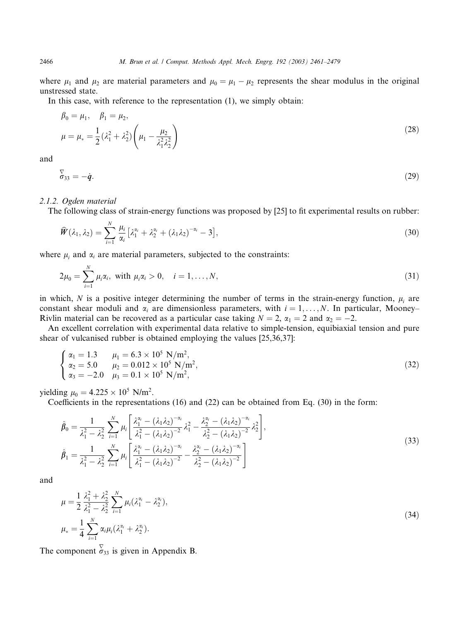where  $\mu_1$  and  $\mu_2$  are material parameters and  $\mu_0 = \mu_1 - \mu_2$  represents the shear modulus in the original unstressed state.

In this case, with reference to the representation (1), we simply obtain:

$$
\beta_0 = \mu_1, \quad \beta_1 = \mu_2,
$$
  
\n
$$
\mu = \mu_* = \frac{1}{2} (\lambda_1^2 + \lambda_2^2) \left( \mu_1 - \frac{\mu_2}{\lambda_1^2 \lambda_2^2} \right)
$$
\n(28)

and

 $\sigma_{33} = \dot{q}$ . (29)

#### 2.1.2. Ogden material

The following class of strain-energy functions was proposed by [25] to fit experimental results on rubber:

$$
\widehat{W}(\lambda_1,\lambda_2)=\sum_{i=1}^N\frac{\mu_i}{\alpha_i}\big[\lambda_1^{\alpha_i}+\lambda_2^{\alpha_i}+(\lambda_1\lambda_2)^{-\alpha_i}-3\big],\tag{30}
$$

where  $\mu_i$  and  $\alpha_i$  are material parameters, subjected to the constraints:

$$
2\mu_0 = \sum_{i=1}^N \mu_i \alpha_i, \text{ with } \mu_i \alpha_i > 0, \quad i = 1, ..., N,
$$
\n(31)

in which, N is a positive integer determining the number of terms in the strain-energy function,  $\mu_i$  are constant shear moduli and  $\alpha_i$  are dimensionless parameters, with  $i = 1, \ldots, N$ . In particular, Mooney– Rivlin material can be recovered as a particular case taking  $N = 2$ ,  $\alpha_1 = 2$  and  $\alpha_2 = -2$ .

An excellent correlation with experimental data relative to simple-tension, equibiaxial tension and pure shear of vulcanised rubber is obtained employing the values  $[25,36,37]$ :

$$
\begin{cases}\n\alpha_1 = 1.3 & \mu_1 = 6.3 \times 10^5 \text{ N/m}^2, \\
\alpha_2 = 5.0 & \mu_2 = 0.012 \times 10^5 \text{ N/m}^2, \\
\alpha_3 = -2.0 & \mu_3 = 0.1 \times 10^5 \text{ N/m}^2,\n\end{cases}
$$
\n(32)

yielding  $\mu_0 = 4.225 \times 10^5$  N/m<sup>2</sup>.

Coefficients in the representations (16) and (22) can be obtained from Eq. (30) in the form:

$$
\hat{\beta}_0 = \frac{1}{\lambda_1^2 - \lambda_2^2} \sum_{i=1}^N \mu_i \left[ \frac{\lambda_1^{\alpha_i} - (\lambda_1 \lambda_2)^{-\alpha_i}}{\lambda_1^2 - (\lambda_1 \lambda_2)^{-2}} \lambda_1^2 - \frac{\lambda_2^{\alpha_i} - (\lambda_1 \lambda_2)^{-\alpha_i}}{\lambda_2^2 - (\lambda_1 \lambda_2)^{-2}} \lambda_2^2 \right],
$$
\n
$$
\hat{\beta}_1 = \frac{1}{\lambda_1^2 - \lambda_2^2} \sum_{i=1}^N \mu_i \left[ \frac{\lambda_1^{\alpha_i} - (\lambda_1 \lambda_2)^{-\alpha_i}}{\lambda_1^2 - (\lambda_1 \lambda_2)^{-2}} - \frac{\lambda_2^{\alpha_i} - (\lambda_1 \lambda_2)^{-\alpha_i}}{\lambda_2^2 - (\lambda_1 \lambda_2)^{-2}} \right]
$$
\n(33)

and

$$
\mu = \frac{1}{2} \frac{\lambda_1^2 + \lambda_2^2}{\lambda_1^2 - \lambda_2^2} \sum_{i=1}^N \mu_i (\lambda_1^{\alpha_i} - \lambda_2^{\alpha_i}),
$$
  
\n
$$
\mu_* = \frac{1}{4} \sum_{i=1}^N \alpha_i \mu_i (\lambda_1^{\alpha_i} + \lambda_2^{\alpha_i}).
$$
\n(34)

The component  $\overline{\sigma}_{33}$  is given in Appendix B.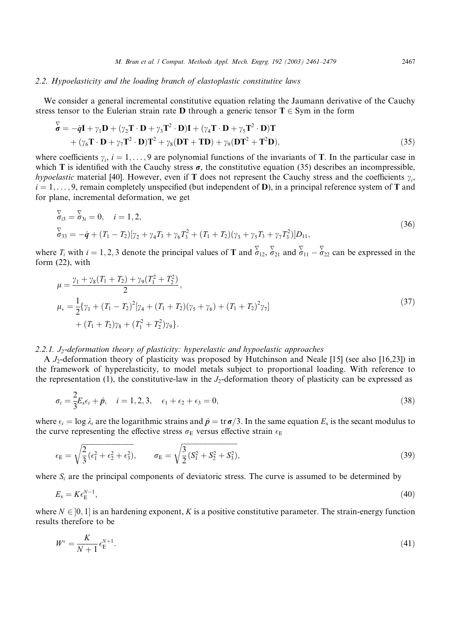## 2.2. Hypoelasticity and the loading branch of elastoplastic constitutive laws

We consider a general incremental constitutive equation relating the Jaumann derivative of the Cauchy stress tensor to the Eulerian strain rate **D** through a generic tensor  $T \in Sym$  in the form

$$
\overline{\mathbf{\mathbf{\mathbf{\Phi}}} = -\dot{\mathbf{\mathbf{q}}} \mathbf{I} + \gamma_1 \mathbf{D} + (\gamma_2 \mathbf{T} \cdot \mathbf{D} + \gamma_3 \mathbf{T}^2 \cdot \mathbf{D}) \mathbf{I} + (\gamma_4 \mathbf{T} \cdot \mathbf{D} + \gamma_5 \mathbf{T}^2 \cdot \mathbf{D}) \mathbf{T}
$$
  
+ (\gamma\_6 \mathbf{T} \cdot \mathbf{D} + \gamma\_7 \mathbf{T}^2 \cdot \mathbf{D}) \mathbf{T}^2 + \gamma\_8 (\mathbf{D} \mathbf{T} + \mathbf{T} \mathbf{D}) + \gamma\_9 (\mathbf{D} \mathbf{T}^2 + \mathbf{T}^2 \mathbf{D}), \tag{35}

where coefficients  $\gamma_i$ ,  $i = 1, \ldots, 9$  are polynomial functions of the invariants of T. In the particular case in which T is identified with the Cauchy stress  $\sigma$ , the constitutive equation (35) describes an incompressible, hypoelastic material [40]. However, even if T does not represent the Cauchy stress and the coefficients  $\gamma_i$ ,  $i = 1, \ldots, 9$ , remain completely unspecified (but independent of D), in a principal reference system of T and for plane, incremental deformation, we get

$$
\begin{aligned}\n\overline{\sigma}_{i3} &= \overline{\sigma}_{3i} = 0, \quad i = 1, 2, \\
\overline{\sigma}_{33} &= -\dot{q} + (T_1 - T_2)[\gamma_2 + \gamma_4 T_3 + \gamma_6 T_3^2 + (T_1 + T_2)(\gamma_3 + \gamma_5 T_3 + \gamma_7 T_3^2)]D_{11},\n\end{aligned} \tag{36}
$$

where  $T_i$  with  $i = 1, 2, 3$  denote the principal values of **T** and  $\overline{\sigma}_{12}$ ,  $\overline{\sigma}_{21}$  and  $\overline{\sigma}_{11}$  –  $\overline{\sigma}_{22}$  can be expressed in the form (22), with

$$
\mu = \frac{\gamma_1 + \gamma_8 (T_1 + T_2) + \gamma_9 (T_1^2 + T_2^2)}{2},
$$
  
\n
$$
\mu_* = \frac{1}{2} {\gamma_1 + (T_1 - T_2)^2 [\gamma_4 + (T_1 + T_2)(\gamma_5 + \gamma_6) + (T_1 + T_2)^2 \gamma_7]}
$$
  
\n
$$
+ (T_1 + T_2)\gamma_8 + (T_1^2 + T_2^2)\gamma_9}.
$$
\n(37)

#### 2.2.1.  $J_2$ -deformation theory of plasticity: hyperelastic and hypoelastic approaches

A  $J_2$ -deformation theory of plasticity was proposed by Hutchinson and Neale [15] (see also [16,23]) in the framework of hyperelasticity, to model metals subject to proportional loading. With reference to the representation (1), the constitutive-law in the  $J_2$ -deformation theory of plasticity can be expressed as

$$
\sigma_i = \frac{2}{3} E_s \epsilon_i + \hat{p}, \quad i = 1, 2, 3, \quad \epsilon_1 + \epsilon_2 + \epsilon_3 = 0,
$$
\n(38)

where  $\epsilon_i = \log \lambda_i$  are the logarithmic strains and  $\hat{p} = \text{tr}\,\sigma/3$ . In the same equation  $E_s$  is the secant modulus to the curve representing the effective stress  $\sigma_E$  versus effective strain  $\epsilon_E$ 

$$
\epsilon_{\rm E} = \sqrt{\frac{2}{3}(\epsilon_1^2 + \epsilon_2^2 + \epsilon_3^2)}, \qquad \sigma_{\rm E} = \sqrt{\frac{3}{2}(S_1^2 + S_2^2 + S_3^2)},
$$
\n(39)

where  $S_i$  are the principal components of deviatoric stress. The curve is assumed to be determined by

$$
E_{\rm s}=K\epsilon_{\rm E}^{N-1},\tag{40}
$$

where  $N \in ]0, 1]$  is an hardening exponent, K is a positive constitutive parameter. The strain-energy function results therefore to be

$$
W^{\epsilon} = \frac{K}{N+1} \epsilon_{\rm E}^{N+1}.\tag{41}
$$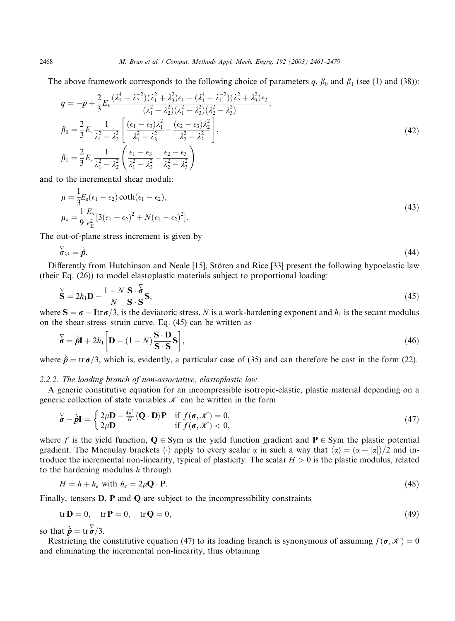The above framework corresponds to the following choice of parameters q,  $\beta_0$  and  $\beta_1$  (see (1) and (38)):

$$
q = -\hat{p} + \frac{2}{3} E_s \frac{(\lambda_2^4 - \lambda_2^{-2})(\lambda_1^2 + \lambda_3^2)\epsilon_1 - (\lambda_1^4 - \lambda_1^{-2})(\lambda_2^2 + \lambda_3^2)\epsilon_2}{(\lambda_1^2 - \lambda_2^2)(\lambda_1^2 - \lambda_3^2)(\lambda_2^2 - \lambda_3^2)},
$$
  
\n
$$
\beta_0 = \frac{2}{3} E_s \frac{1}{\lambda_1^2 - \lambda_2^2} \left[ \frac{(\epsilon_1 - \epsilon_3)\lambda_1^2}{\lambda_1^2 - \lambda_3^2} - \frac{(\epsilon_2 - \epsilon_3)\lambda_2^2}{\lambda_2^2 - \lambda_3^2} \right],
$$
  
\n
$$
\beta_1 = \frac{2}{3} E_s \frac{1}{\lambda_1^2 - \lambda_2^2} \left( \frac{\epsilon_1 - \epsilon_3}{\lambda_1^2 - \lambda_3^2} - \frac{\epsilon_2 - \epsilon_3}{\lambda_2^2 - \lambda_3^2} \right)
$$
  
\n(42)

and to the incremental shear moduli:

$$
\mu = \frac{1}{3} E_s (\epsilon_1 - \epsilon_2) \coth(\epsilon_1 - \epsilon_2), \n\mu_* = \frac{1}{9} \frac{E_s}{\epsilon_E^2} [3(\epsilon_1 + \epsilon_2)^2 + N(\epsilon_1 - \epsilon_2)^2].
$$
\n(43)

The out-of-plane stress increment is given by

$$
\overline{\mathfrak{b}}_{33} = \dot{\hat{\boldsymbol{p}}}. \tag{44}
$$

Differently from Hutchinson and Neale [15], Stören and Rice [33] present the following hypoelastic law (their Eq. (26)) to model elastoplastic materials subject to proportional loading:

$$
\overline{\mathbf{S}} = 2h_1 \mathbf{D} - \frac{1 - N}{N} \frac{\mathbf{S} \cdot \overline{\mathbf{S}}}{\mathbf{S} \cdot \mathbf{S}} \mathbf{S},\tag{45}
$$

where  $S = \sigma - \text{Itr}\,\sigma/3$ , is the deviatoric stress, N is a work-hardening exponent and  $h_1$  is the secant modulus on the shear stress–strain curve. Eq. (45) can be written as

$$
\mathbf{\vec{\delta}} = \dot{\mathbf{p}}\mathbf{I} + 2h_1 \left[ \mathbf{D} - (1 - N) \frac{\mathbf{S} \cdot \mathbf{D}}{\mathbf{S} \cdot \mathbf{S}} \mathbf{S} \right],\tag{46}
$$

where  $\dot{\vec{p}} = \text{tr}\,\dot{\vec{\sigma}}/3$ , which is, evidently, a particular case of (35) and can therefore be cast in the form (22).

## 2.2.2. The loading branch of non-associative, elastoplastic law

A generic constitutive equation for an incompressible isotropic-elastic, plastic material depending on a generic collection of state variables  $\mathcal K$  can be written in the form

$$
\overline{\boldsymbol{\sigma}} - \dot{\boldsymbol{\rho}} \mathbf{I} = \begin{cases} 2\mu \mathbf{D} - \frac{4\mu^2}{H} \langle \mathbf{Q} \cdot \mathbf{D} \rangle \mathbf{P} & \text{if } f(\boldsymbol{\sigma}, \mathscr{K}) = 0, \\ 2\mu \mathbf{D} & \text{if } f(\boldsymbol{\sigma}, \mathscr{K}) < 0, \end{cases}
$$
(47)

where f is the yield function,  $Q \in Sym$  is the yield function gradient and  $P \in Sym$  the plastic potential gradient. The Macaulay brackets  $\langle \cdot \rangle$  apply to every scalar  $\alpha$  in such a way that  $\langle \alpha \rangle = (\alpha + |\alpha|)/2$  and introduce the incremental non-linearity, typical of plasticity. The scalar  $H > 0$  is the plastic modulus, related to the hardening modulus  $h$  through

$$
H = h + h_e \text{ with } h_e = 2\mu \mathbf{Q} \cdot \mathbf{P}.\tag{48}
$$

Finally, tensors  $D$ ,  $P$  and  $Q$  are subject to the incompressibility constraints

$$
\text{tr}\,\mathbf{D} = 0, \quad \text{tr}\,\mathbf{P} = 0, \quad \text{tr}\,\mathbf{Q} = 0,\tag{49}
$$

so that  $\dot{\hat{\boldsymbol{p}}} = \text{tr} \, \overline{\boldsymbol{\sigma}} / 3$ .

Restricting the constitutive equation (47) to its loading branch is synonymous of assuming  $f(\sigma, \mathcal{K}) = 0$ and eliminating the incremental non-linearity, thus obtaining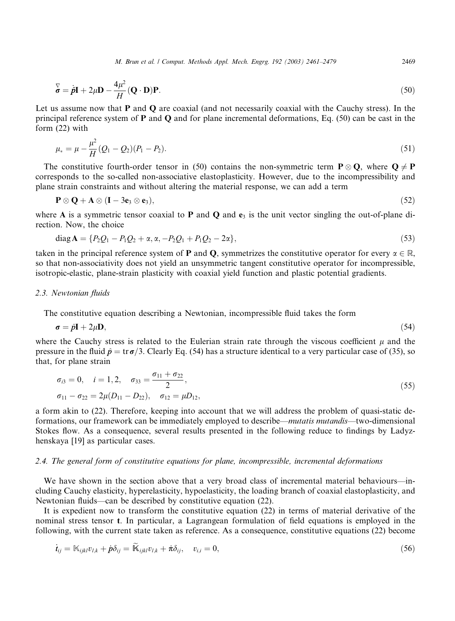M. Brun et al. / Comput. Methods Appl. Mech. Engrg. 192 (2003) 2461–2479 2469

$$
\overline{\mathbf{\dot{\sigma}}} = \dot{\mathbf{p}} \mathbf{I} + 2\mu \mathbf{D} - \frac{4\mu^2}{H} (\mathbf{Q} \cdot \mathbf{D}) \mathbf{P}.
$$
 (50)

Let us assume now that **P** and **Q** are coaxial (and not necessarily coaxial with the Cauchy stress). In the principal reference system of  $P$  and  $Q$  and for plane incremental deformations, Eq. (50) can be cast in the form (22) with

$$
\mu_* = \mu - \frac{\mu^2}{H} (Q_1 - Q_2)(P_1 - P_2). \tag{51}
$$

The constitutive fourth-order tensor in (50) contains the non-symmetric term  $P \otimes Q$ , where  $Q \neq P$ corresponds to the so-called non-associative elastoplasticity. However, due to the incompressibility and plane strain constraints and without altering the material response, we can add a term

$$
\mathbf{P} \otimes \mathbf{Q} + \mathbf{A} \otimes (\mathbf{I} - 3\mathbf{e}_3 \otimes \mathbf{e}_3), \tag{52}
$$

where A is a symmetric tensor coaxial to P and Q and  $e_3$  is the unit vector singling the out-of-plane direction. Now, the choice

$$
diag A = \{ P_2 Q_1 - P_1 Q_2 + \alpha, \alpha, -P_2 Q_1 + P_1 Q_2 - 2\alpha \},
$$
\n(53)

taken in the principal reference system of **P** and **Q**, symmetrizes the constitutive operator for every  $\alpha \in \mathbb{R}$ , so that non-associativity does not yield an unsymmetric tangent constitutive operator for incompressible, isotropic-elastic, plane-strain plasticity with coaxial yield function and plastic potential gradients.

#### 2.3. Newtonian fluids

The constitutive equation describinga Newtonian, incompressible fluid takes the form

$$
\boldsymbol{\sigma} = \hat{\boldsymbol{p}} \mathbf{I} + 2\mu \mathbf{D},\tag{54}
$$

where the Cauchy stress is related to the Eulerian strain rate through the viscous coefficient  $\mu$  and the pressure in the fluid  $\hat{p} = \text{tr}\,\sigma/3$ . Clearly Eq. (54) has a structure identical to a very particular case of (35), so that, for plane strain

$$
\sigma_{i3} = 0, \quad i = 1, 2, \quad \sigma_{33} = \frac{\sigma_{11} + \sigma_{22}}{2}, \n\sigma_{11} - \sigma_{22} = 2\mu(D_{11} - D_{22}), \quad \sigma_{12} = \mu D_{12},
$$
\n(55)

a form akin to (22). Therefore, keeping into account that we will address the problem of quasi-static deformations, our framework can be immediately employed to describe––mutatis mutandis––two-dimensional Stokes flow. As a consequence, several results presented in the following reduce to findings by Ladyzhenskaya [19] as particular cases.

### 2.4. The general form of constitutive equations for plane, incompressible, incremental deformations

We have shown in the section above that a very broad class of incremental material behaviours—including Cauchy elasticity, hyperelasticity, hypoelasticity, the loading branch of coaxial elastoplasticity, and Newtonian fluids––can be described by constitutive equation (22).

It is expedient now to transform the constitutive equation (22) in terms of material derivative of the nominal stress tensor t. In particular, a Lagrangean formulation of field equations is employed in the following, with the current state taken as reference. As a consequence, constitutive equations (22) become

$$
\dot{t}_{ij} = \mathbb{K}_{ijkl} v_{l,k} + \dot{p}\delta_{ij} = \widetilde{\mathbb{K}}_{ijkl} v_{l,k} + \dot{\pi}\delta_{ij}, \quad v_{i,i} = 0,
$$
\n(56)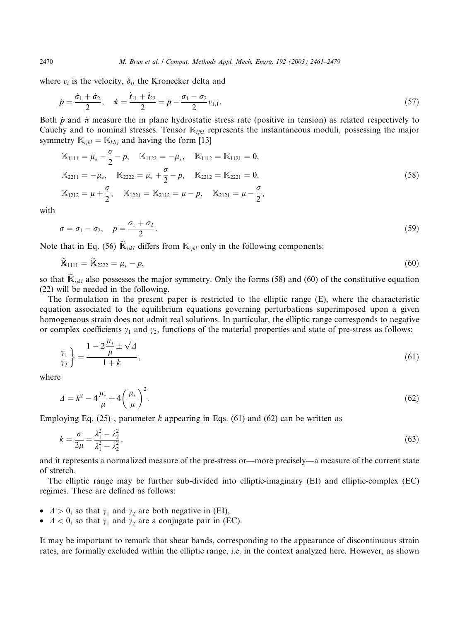where  $v_i$  is the velocity,  $\delta_{ij}$  the Kronecker delta and

$$
\dot{p} = \frac{\dot{\sigma}_1 + \dot{\sigma}_2}{2}, \quad \dot{\pi} = \frac{\dot{t}_{11} + \dot{t}_{22}}{2} = \dot{p} - \frac{\sigma_1 - \sigma_2}{2} v_{1,1}.
$$
\n(57)

Both  $\dot{p}$  and  $\dot{\pi}$  measure the in plane hydrostatic stress rate (positive in tension) as related respectively to Cauchy and to nominal stresses. Tensor  $\mathbb{K}_{ijkl}$  represents the instantaneous moduli, possessing the major symmetry  $\mathbb{K}_{ijkl} = \mathbb{K}_{klij}$  and having the form [13]

$$
\mathbb{K}_{1111} = \mu_* - \frac{\sigma}{2} - p, \quad \mathbb{K}_{1122} = -\mu_*, \quad \mathbb{K}_{1112} = \mathbb{K}_{1121} = 0,
$$
\n
$$
\mathbb{K}_{2211} = -\mu_*, \quad \mathbb{K}_{2222} = \mu_* + \frac{\sigma}{2} - p, \quad \mathbb{K}_{2212} = \mathbb{K}_{2221} = 0,
$$
\n
$$
\mathbb{K}_{1212} = \mu + \frac{\sigma}{2}, \quad \mathbb{K}_{1221} = \mathbb{K}_{2112} = \mu - p, \quad \mathbb{K}_{2121} = \mu - \frac{\sigma}{2},
$$
\n(58)

with

$$
\sigma = \sigma_1 - \sigma_2, \quad p = \frac{\sigma_1 + \sigma_2}{2}.
$$
\n<sup>(59)</sup>

Note that in Eq. (56)  $\widetilde{K}_{ijkl}$  differs from  $\mathbb{K}_{ijkl}$  only in the following components:

$$
\mathbb{K}_{1111} = \mathbb{K}_{2222} = \mu_* - p,\tag{60}
$$

so that  $\mathbb{K}_{ijkl}$  also possesses the major symmetry. Only the forms (58) and (60) of the constitutive equation (22) will be needed in the following.

The formulation in the present paper is restricted to the elliptic range (E), where the characteristic equation associated to the equilibrium equations governing perturbations superimposed upon a given homogeneous strain does not admit real solutions. In particular, the elliptic range corresponds to negative or complex coefficients  $\gamma_1$  and  $\gamma_2$ , functions of the material properties and state of pre-stress as follows:

$$
\begin{aligned} \gamma_1\\ \gamma_2\\ \end{aligned} = \frac{1 - 2\frac{\mu_*}{\mu} \pm \sqrt{\Delta}}{1 + k},\tag{61}
$$

where

$$
\Delta = k^2 - 4\frac{\mu_*}{\mu} + 4\left(\frac{\mu_*}{\mu}\right)^2.
$$
\n(62)

Employing Eq.  $(25)_1$ , parameter k appearing in Eqs. (61) and (62) can be written as

$$
k = \frac{\sigma}{2\mu} = \frac{\lambda_1^2 - \lambda_2^2}{\lambda_1^2 + \lambda_2^2},\tag{63}
$$

and it represents a normalized measure of the pre-stress or––more precisely––a measure of the current state of stretch.

The elliptic range may be further sub-divided into elliptic-imaginary (EI) and elliptic-complex (EC) regimes. These are defined as follows:

- $\Delta > 0$ , so that  $\gamma_1$  and  $\gamma_2$  are both negative in (EI),
- $\Delta < 0$ , so that  $\gamma_1$  and  $\gamma_2$  are a conjugate pair in (EC).

It may be important to remark that shear bands, corresponding to the appearance of discontinuous strain rates, are formally excluded within the elliptic range, i.e. in the context analyzed here. However, as shown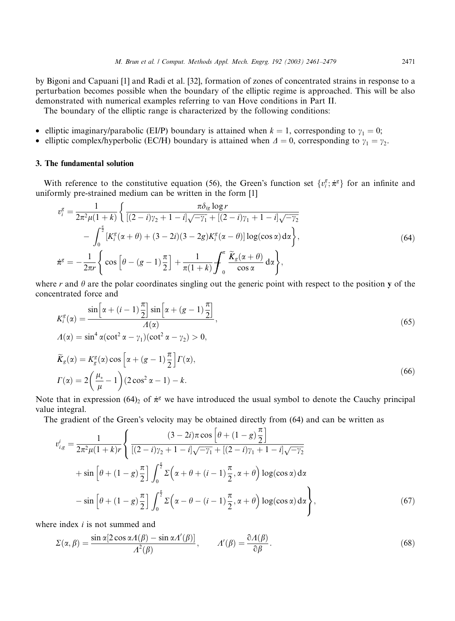by Bigoni and Capuani [1] and Radi et al. [32], formation of zones of concentrated strains in response to a perturbation becomes possible when the boundary of the elliptic regime is approached. This will be also demonstrated with numerical examples referring to van Hove conditions in Part II.

The boundary of the elliptic range is characterized by the following conditions:

- elliptic imaginary/parabolic (EI/P) boundary is attained when  $k = 1$ , corresponding to  $\gamma_1 = 0$ ;
- elliptic complex/hyperbolic (EC/H) boundary is attained when  $\Delta = 0$ , corresponding to  $\gamma_1 = \gamma_2$ .

## 3. The fundamental solution

With reference to the constitutive equation (56), the Green's function set  $\{v_i^g, \dot{\pi}^g\}$  for an infinite and uniformly pre-strained medium can be written in the form [1]

$$
v_i^g = \frac{1}{2\pi^2 \mu (1+k)} \left\{ \frac{\pi \delta_{ig} \log r}{[(2-i)\gamma_2 + 1 - i]\sqrt{-\gamma_1} + [(2-i)\gamma_1 + 1 - i]\sqrt{-\gamma_2}} - \int_0^{\frac{\pi}{2}} [K_i^g(\alpha + \theta) + (3-2i)(3-2g)K_i^g(\alpha - \theta)] \log(\cos \alpha) d\alpha \right\},\tag{64}
$$

$$
\dot{\pi}^g = -\frac{1}{2\pi r} \left\{ \cos \left[ \theta - (g-1)\frac{\pi}{2} \right] + \frac{1}{\pi (1+k)} \int_0^{\pi} \frac{\tilde{K}_g(\alpha + \theta)}{\cos \alpha} d\alpha \right\},\tag{64}
$$

where r and  $\theta$  are the polar coordinates singling out the generic point with respect to the position y of the concentrated force and

$$
K_i^g(\alpha) = \frac{\sin\left[\alpha + (i-1)\frac{\pi}{2}\right] \sin\left[\alpha + (g-1)\frac{\pi}{2}\right]}{A(\alpha)},
$$
  
\n
$$
A(\alpha) = \sin^4 \alpha (\cot^2 \alpha - \gamma_1)(\cot^2 \alpha - \gamma_2) > 0,
$$
  
\n
$$
\widetilde{K}_g(\alpha) = K_g^g(\alpha) \cos\left[\alpha + (g-1)\frac{\pi}{2}\right] \Gamma(\alpha),
$$
  
\n
$$
\Gamma(\alpha) = 2\left(\frac{\mu_*}{\mu} - 1\right) (2\cos^2 \alpha - 1) - k.
$$
\n(66)

Note that in expression (64)<sub>2</sub> of  $\dot{\pi}^g$  we have introduced the usual symbol to denote the Cauchy principal value integral.

The gradient of the Green's velocity may be obtained directly from (64) and can be written as

$$
v_{i,g}^{i} = \frac{1}{2\pi^{2}\mu(1+k)r} \left\{ \frac{(3-2i)\pi \cos\left[\theta + (1-g)\frac{\pi}{2}\right]}{[(2-i)\gamma_{2} + 1 - i]\sqrt{-\gamma_{1}} + [(2-i)\gamma_{1} + 1 - i]\sqrt{-\gamma_{2}}} + \sin\left[\theta + (1-g)\frac{\pi}{2}\right] \int_{0}^{\frac{\pi}{2}} \Sigma\left(\alpha + \theta + (i-1)\frac{\pi}{2}, \alpha + \theta\right) \log(\cos\alpha) d\alpha - \sin\left[\theta + (1-g)\frac{\pi}{2}\right] \int_{0}^{\frac{\pi}{2}} \Sigma\left(\alpha - \theta - (i-1)\frac{\pi}{2}, \alpha + \theta\right) \log(\cos\alpha) d\alpha \right\},
$$
\n(67)

where index *i* is not summed and

$$
\Sigma(\alpha, \beta) = \frac{\sin \alpha [2 \cos \alpha A(\beta) - \sin \alpha A'(\beta)]}{A^2(\beta)}, \qquad A'(\beta) = \frac{\partial A(\beta)}{\partial \beta}.
$$
\n(68)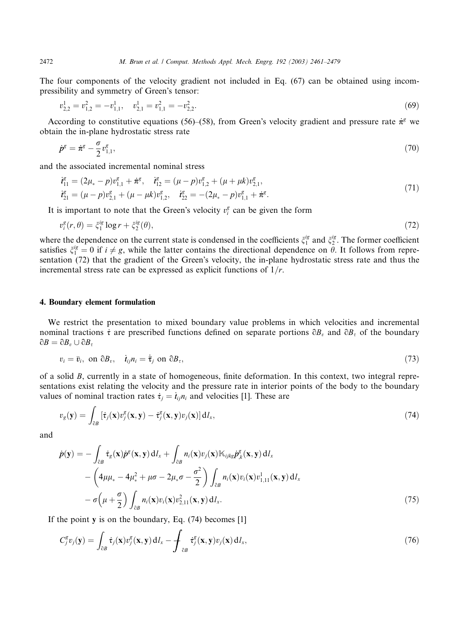The four components of the velocity gradient not included in Eq. (67) can be obtained using incompressibility and symmetry of Green's tensor:

$$
v_{2,2}^1 = v_{1,2}^2 = -v_{1,1}^1, \quad v_{2,1}^1 = v_{1,1}^2 = -v_{2,2}^2. \tag{69}
$$

According to constitutive equations (56)–(58), from Green's velocity gradient and pressure rate  $\dot{\pi}^g$  we obtain the in-plane hydrostatic stress rate

$$
\dot{p}^g = \dot{\pi}^g - \frac{\sigma}{2} v_{1,1}^g,\tag{70}
$$

and the associated incremental nominal stress

$$
\begin{aligned}\n\dot{\mathbf{t}}_{11}^g &= (2\mu_* - p)v_{1,1}^g + \dot{\pi}^g, \quad \dot{\mathbf{t}}_{12}^g = (\mu - p)v_{1,2}^g + (\mu + \mu k)v_{2,1}^g, \\
\dot{\mathbf{t}}_{21}^g &= (\mu - p)v_{2,1}^g + (\mu - \mu k)v_{1,2}^g, \quad \dot{\mathbf{t}}_{22}^g = -(2\mu_* - p)v_{1,1}^g + \dot{\pi}^g.\n\end{aligned}\n\tag{71}
$$

It is important to note that the Green's velocity  $v_i^g$  can be given the form

$$
v_i^g(r,\theta) = \zeta_1^{ig} \log r + \zeta_2^{ig}(\theta),\tag{72}
$$

where the dependence on the current state is condensed in the coefficients  $\xi_1^{ig}$  and  $\xi_2^{ig}$ . The former coefficient satisfies  $\xi_1^{ig} = 0$  if  $i \neq g$ , while the latter contains the directional dependence on  $\tilde{\theta}$ . It follows from representation (72) that the gradient of the Green's velocity, the in-plane hydrostatic stress rate and thus the incremental stress rate can be expressed as explicit functions of  $1/r$ .

## 4. Boundary element formulation

We restrict the presentation to mixed boundary value problems in which velocities and incremental nominal tractions  $\dot{\tau}$  are prescribed functions defined on separate portions  $\partial B_\nu$  and  $\partial B_\tau$  of the boundary  $\partial B = \partial B_v \cup \partial B_\tau$ 

$$
v_i = \bar{v}_i, \text{ on } \partial B_v, \quad \dot{t}_{ij} n_i = \dot{\bar{\tau}}_j \text{ on } \partial B_\tau,
$$
\n
$$
(73)
$$

of a solid B, currently in a state of homogeneous, finite deformation. In this context, two integral representations exist relating the velocity and the pressure rate in interior points of the body to the boundary values of nominal traction rates  $\dot{\tau}_j = \dot{t}_{ij} n_i$  and velocities [1]. These are

$$
v_g(\mathbf{y}) = \int_{\partial B} \left[ \dot{\tau}_j(\mathbf{x}) v_j^g(\mathbf{x}, \mathbf{y}) - \dot{\tau}_j^g(\mathbf{x}, \mathbf{y}) v_j(\mathbf{x}) \right] \mathrm{d}I_x,\tag{74}
$$

and

$$
\dot{p}(\mathbf{y}) = -\int_{\partial B} \dot{\tau}_g(\mathbf{x}) \dot{p}^g(\mathbf{x}, \mathbf{y}) dI_x + \int_{\partial B} n_i(\mathbf{x}) v_j(\mathbf{x}) \mathbb{K}_{ijkg} \dot{p}^g_{,k}(\mathbf{x}, \mathbf{y}) dI_x \n- \left( 4\mu \mu_* - 4\mu_*^2 + \mu \sigma - 2\mu_* \sigma - \frac{\sigma^2}{2} \right) \int_{\partial B} n_i(\mathbf{x}) v_i(\mathbf{x}) v^1_{1,11}(\mathbf{x}, \mathbf{y}) dI_x \n- \sigma \left( \mu + \frac{\sigma}{2} \right) \int_{\partial B} n_i(\mathbf{x}) v_i(\mathbf{x}) v^2_{2,11}(\mathbf{x}, \mathbf{y}) dI_x.
$$
\n(75)

If the point  $\bf{v}$  is on the boundary, Eq. (74) becomes [1]

$$
C_j^g v_j(\mathbf{y}) = \int_{\partial B} \dot{\tau}_j(\mathbf{x}) v_j^g(\mathbf{x}, \mathbf{y}) \, dI_x - \int_{\partial B} \dot{\tau}_j^g(\mathbf{x}, \mathbf{y}) v_j(\mathbf{x}) \, dI_x, \tag{76}
$$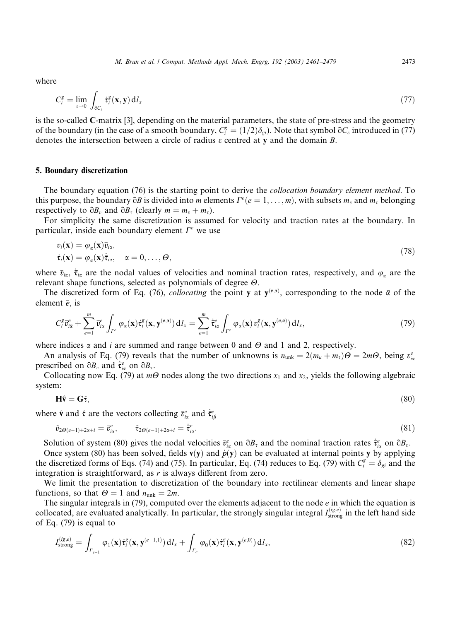where

$$
C_i^g = \lim_{\varepsilon \to 0} \int_{\partial C_{\varepsilon}} \dot{\tau}_i^g(\mathbf{x}, \mathbf{y}) \, \mathrm{d} l_x \tag{77}
$$

is the so-called C-matrix [3], depending on the material parameters, the state of pre-stress and the geometry of the boundary (in the case of a smooth boundary,  $C_i^g = (1/2)\delta_{gi}$ ). Note that symbol  $\partial C_{\varepsilon}$  introduced in (77) denotes the intersection between a circle of radius  $\varepsilon$  centred at y and the domain B.

## 5. Boundary discretization

The boundary equation (76) is the starting point to derive the *collocation boundary element method*. To this purpose, the boundary  $\partial B$  is divided into m elements  $\Gamma^e(e=1,\ldots,m)$ , with subsets  $m_v$  and  $m_\tau$  belonging respectively to  $\partial B_n$  and  $\partial B_\tau$  (clearly  $m = m_n + m_\tau$ ).

For simplicity the same discretization is assumed for velocity and traction rates at the boundary. In particular, inside each boundary element  $\Gamma^e$  we use

$$
v_i(\mathbf{x}) = \varphi_{\alpha}(\mathbf{x}) \bar{v}_{i\alpha},
$$
  
\n
$$
\dot{\tau}_i(\mathbf{x}) = \varphi_{\alpha}(\mathbf{x}) \dot{\bar{\tau}}_{i\alpha}, \quad \alpha = 0, \dots, \Theta,
$$
\n(78)

where  $\bar{v}_{i\alpha}$ ,  $\bar{\tau}_{i\alpha}$  are the nodal values of velocities and nominal traction rates, respectively, and  $\varphi_{\alpha}$  are the relevant shape functions, selected as polynomials of degree  $\Theta$ .

The discretized form of Eq. (76), *collocating* the point y at  $y^{(\bar{e}, \bar{a})}$ , corresponding to the node  $\bar{\alpha}$  of the element  $\bar{e}$ , is

$$
C_i^g \bar{v}_{i\bar{\alpha}}^{\bar{e}} + \sum_{e=1}^m \bar{v}_{i\alpha}^e \int_{\Gamma^e} \varphi_\alpha(\mathbf{x}) \dot{\tau}_i^g(\mathbf{x}, \mathbf{y}^{(\bar{e}, \bar{\alpha})}) dI_x = \sum_{e=1}^m \dot{\bar{\tau}}_{i\alpha}^e \int_{\Gamma^e} \varphi_\alpha(\mathbf{x}) v_i^g(\mathbf{x}, \mathbf{y}^{(\bar{e}, \bar{\alpha})}) dI_x,
$$
\n(79)

where indices  $\alpha$  and *i* are summed and range between 0 and  $\Theta$  and 1 and 2, respectively.

An analysis of Eq. (79) reveals that the number of unknowns is  $n_{unk} = 2(m_u + m_\tau)\Theta = 2m\Theta$ , being  $\bar{v}_{ix}^e$ prescribed on  $\partial B_v$  and  $\dot{\bar{\tau}}_{ix}^e$  on  $\partial B_v$ .

Collocating now Eq. (79) at  $m\Theta$  nodes along the two directions  $x_1$  and  $x_2$ , yields the following algebraic system:

$$
\mathbf{H}\hat{\mathbf{v}} = \mathbf{G}\hat{\tau},\tag{80}
$$

where  $\hat{\mathbf{v}}$  and  $\hat{\tau}$  are the vectors collecting  $\bar{v}_{i\alpha}^e$  and  $\dot{\bar{\tau}}_{i\beta}^e$ 

$$
\hat{v}_{2\Theta(e-1)+2x+i} = \bar{v}_{ix}^e, \qquad \hat{\tau}_{2\Theta(e-1)+2x+i} = \dot{\bar{\tau}}_{ix}^e.
$$
\n(81)

Solution of system (80) gives the nodal velocities  $\bar{v}_{ix}^e$  on  $\partial B_\tau$  and the nominal traction rates  $\dot{\bar{\tau}}_{ix}^e$  on  $\partial B_\nu$ .

Once system (80) has been solved, fields  $v(y)$  and  $\dot{p}(y)$  can be evaluated at internal points y by applying the discretized forms of Eqs. (74) and (75). In particular, Eq. (74) reduces to Eq. (79) with  $C_i^g = \delta_{gi}$  and the integration is straightforward, as  $r$  is always different from zero.

We limit the presentation to discretization of the boundary into rectilinear elements and linear shape functions, so that  $\Theta = 1$  and  $n_{unk} = 2m$ .

The singular integrals in  $(79)$ , computed over the elements adjacent to the node  $e$  in which the equation is collocated, are evaluated analytically. In particular, the strongly singular integral  $I_{\text{strong}}^{(ig,e)}$  in the left hand side of Eq. (79) is equal to

$$
I_{\text{strong}}^{(ig,e)} = \int_{\Gamma_{e-1}} \varphi_1(\mathbf{x}) \dot{\tau}_i^g(\mathbf{x}, \mathbf{y}^{(e-1,1)}) \, \mathrm{d}I_x + \int_{\Gamma_e} \varphi_0(\mathbf{x}) \dot{\tau}_i^g(\mathbf{x}, \mathbf{y}^{(e,0)}) \, \mathrm{d}I_x,\tag{82}
$$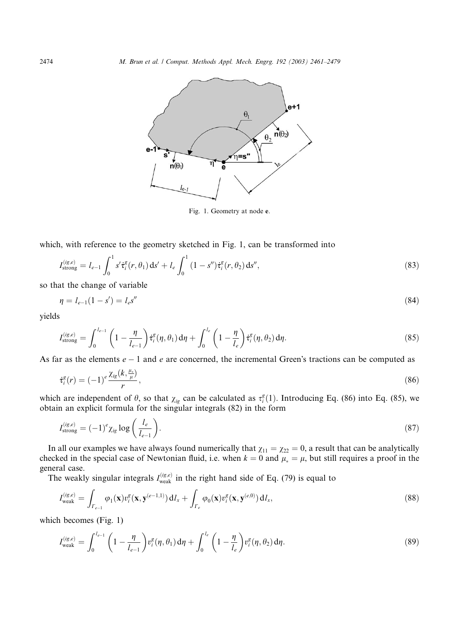

Fig. 1. Geometry at node e.

which, with reference to the geometry sketched in Fig. 1, can be transformed into

$$
I_{\text{strong}}^{(ig,e)} = l_{e-1} \int_0^1 s' \dot{\tau}_i^g(r,\theta_1) \, \mathrm{d}s' + l_e \int_0^1 (1-s'') \dot{\tau}_i^g(r,\theta_2) \, \mathrm{d}s'',\tag{83}
$$

so that the change of variable

$$
\eta = l_{e-1}(1 - s') = l_e s'' \tag{84}
$$

yields

$$
I_{\text{strong}}^{(ig,e)} = \int_0^{l_{e-1}} \left(1 - \frac{\eta}{l_{e-1}}\right) \dot{\tau}_i^g(\eta, \theta_1) d\eta + \int_0^{l_e} \left(1 - \frac{\eta}{l_e}\right) \dot{\tau}_i^g(\eta, \theta_2) d\eta.
$$
 (85)

As far as the elements  $e-1$  and e are concerned, the incremental Green's tractions can be computed as

$$
\dot{\tau}_i^g(r) = (-1)^e \frac{\chi_{ig}(k, \frac{\mu_*}{\mu})}{r},\tag{86}
$$

which are independent of  $\theta$ , so that  $\chi_{ig}$  can be calculated as  $\tau_i^g(1)$ . Introducing Eq. (86) into Eq. (85), we obtain an explicit formula for the singular integrals (82) in the form

$$
I_{\text{strong}}^{(ig,e)} = (-1)^e \chi_{ig} \log \left( \frac{l_e}{l_{e-1}} \right). \tag{87}
$$

In all our examples we have always found numerically that  $\chi_{11} = \chi_{22} = 0$ , a result that can be analytically checked in the special case of Newtonian fluid, i.e. when  $k = 0$  and  $\mu_* = \mu$ , but still requires a proof in the general case.

The weakly singular integrals  $I_{\text{weak}}^{(ig,e)}$  in the right hand side of Eq. (79) is equal to

$$
I_{\text{weak}}^{(ig,e)} = \int_{\Gamma_{e-1}} \varphi_1(\mathbf{x}) v_i^g(\mathbf{x}, \mathbf{y}^{(e-1,1)}) \, \mathrm{d}I_x + \int_{\Gamma_e} \varphi_0(\mathbf{x}) v_i^g(\mathbf{x}, \mathbf{y}^{(e,0)}) \, \mathrm{d}I_x,\tag{88}
$$

which becomes (Fig. 1)

$$
I_{\text{weak}}^{(ig,e)} = \int_0^{l_{e-1}} \left( 1 - \frac{\eta}{l_{e-1}} \right) v_i^g(\eta, \theta_1) d\eta + \int_0^{l_e} \left( 1 - \frac{\eta}{l_e} \right) v_i^g(\eta, \theta_2) d\eta.
$$
 (89)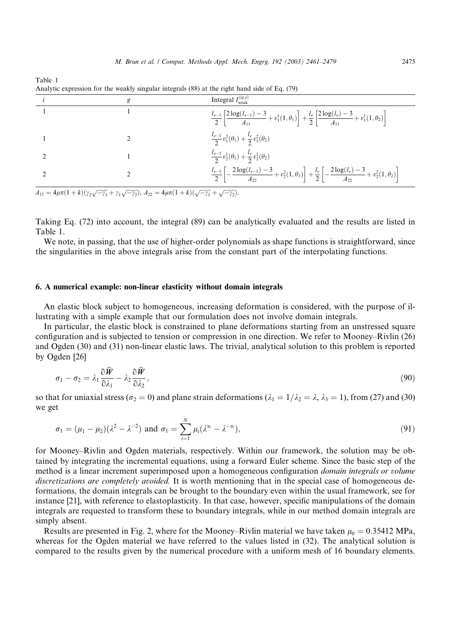| g | Integral $I_{\text{weak}}^{(ig,e)}$                                                                                                                         |
|---|-------------------------------------------------------------------------------------------------------------------------------------------------------------|
|   | $\frac{l_{e-1}}{2}\left[\frac{2\log(l_{e-1})-3}{A_{11}}+v_1^1(1,\theta_1)\right]+\frac{l_e}{2}\left[\frac{2\log(l_e)-3}{A_{11}}+v_1^1(1,\theta_2)\right]$   |
|   | $\frac{l_{e-1}}{2}v_1^2(\theta_1)+\frac{l_e}{2}v_1^2(\theta_2)$                                                                                             |
|   | $\frac{l_{e-1}}{2}v_2^1(\theta_1)+\frac{l_e}{2}v_2^1(\theta_2)$                                                                                             |
|   | $\frac{l_{e-1}}{2}\left[-\frac{2\log(l_{e-1})-3}{A_{22}}+v_2^2(1,\theta_1)\right]+\frac{l_e}{2}\left[-\frac{2\log(l_e)-3}{A_{22}}+v_2^2(1,\theta_2)\right]$ |

Analytic expression for the weakly singular integrals (88) at the right hand side of Eq. (79)

 $A_{11} = 4\mu\pi(1+k)(\gamma_2\sqrt{-\gamma_1} + \gamma_1\sqrt{-\gamma_2}), A_{22} = 4\mu\pi(1+k)(\sqrt{-\gamma_1} + \sqrt{-\gamma_2}).$ 

Table 1

Taking Eq. (72) into account, the integral (89) can be analytically evaluated and the results are listed in Table 1.

We note, in passing, that the use of higher-order polynomials as shape functions is straightforward, since the singularities in the above integrals arise from the constant part of the interpolating functions.

## 6. A numerical example: non-linear elasticity without domain integrals

An elastic block subject to homogeneous, increasing deformation is considered, with the purpose of illustrating with a simple example that our formulation does not involve domain integrals.

In particular, the elastic block is constrained to plane deformations startingfrom an unstressed square configuration and is subjected to tension or compression in one direction. We refer to Mooney–Rivlin (26) and Ogden (30) and (31) non-linear elastic laws. The trivial, analytical solution to this problem is reported by Ogden [26]

$$
\sigma_1 - \sigma_2 = \lambda_1 \frac{\partial \widehat{W}}{\partial \lambda_1} - \lambda_2 \frac{\partial \widehat{W}}{\partial \lambda_2},\tag{90}
$$

so that for uniaxial stress ( $\sigma_2 = 0$ ) and plane strain deformations ( $\lambda_1 = 1/\lambda_2 = \lambda$ ,  $\lambda_3 = 1$ ), from (27) and (30) we get

$$
\sigma_1 = (\mu_1 - \mu_2)(\lambda^2 - \lambda^{-2}) \text{ and } \sigma_1 = \sum_{i=1}^N \mu_i (\lambda^{\alpha_i} - \lambda^{-\alpha_i}),
$$
\n(91)

for Mooney–Rivlin and Ogden materials, respectively. Within our framework, the solution may be obtained by integrating the incremental equations, using a forward Euler scheme. Since the basic step of the method is a linear increment superimposed upon a homogeneous configuration *domain integrals or volume* discretizations are completely avoided. It is worth mentioning that in the special case of homogeneous deformations, the domain integrals can be brought to the boundary even within the usual framework, see for instance [21], with reference to elastoplasticity. In that case, however, specific manipulations of the domain integrals are requested to transform these to boundary integrals, while in our method domain integrals are simply absent.

Results are presented in Fig. 2, where for the Mooney–Rivlin material we have taken  $\mu_0 = 0.35412 \text{ MPa}$ , whereas for the Ogden material we have referred to the values listed in  $(32)$ . The analytical solution is compared to the results given by the numerical procedure with a uniform mesh of 16 boundary elements.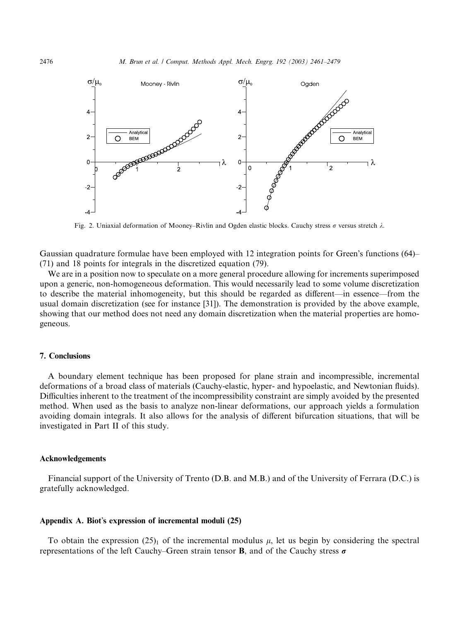

Fig. 2. Uniaxial deformation of Mooney–Rivlin and Ogden elastic blocks. Cauchy stress  $\sigma$  versus stretch  $\lambda$ .

Gaussian quadrature formulae have been employed with 12 integration points for Green's functions  $(64)$ (71) and 18 points for integrals in the discretized equation (79).

We are in a position now to speculate on a more general procedure allowing for increments superimposed upon a generic, non-homogeneous deformation. This would necessarily lead to some volume discretization to describe the material inhomogeneity, but this should be regarded as different––in essence––from the usual domain discretization (see for instance [31]). The demonstration is provided by the above example, showing that our method does not need any domain discretization when the material properties are homogeneous.

### 7. Conclusions

A boundary element technique has been proposed for plane strain and incompressible, incremental deformations of a broad class of materials (Cauchy-elastic, hyper- and hypoelastic, and Newtonian fluids). Difficulties inherent to the treatment of the incompressibility constraint are simply avoided by the presented method. When used as the basis to analyze non-linear deformations, our approach yields a formulation avoiding domain integrals. It also allows for the analysis of different bifurcation situations, that will be investigated in Part II of this study.

### Acknowledgements

Financial support of the University of Trento (D.B. and M.B.) and of the University of Ferrara (D.C.) is gratefully acknowledged.

#### Appendix A. Biot's expression of incremental moduli  $(25)$

To obtain the expression (25)<sub>1</sub> of the incremental modulus  $\mu$ , let us begin by considering the spectral representations of the left Cauchy–Green strain tensor **B**, and of the Cauchy stress  $\sigma$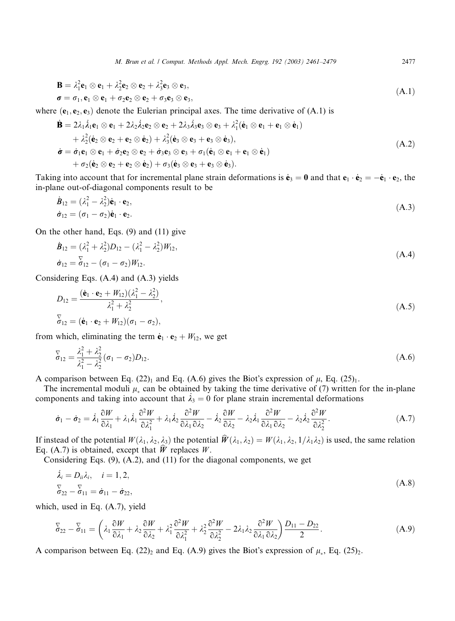M. Brun et al. / Comput. Methods Appl. Mech. Engrg. 192 (2003) 2461–2479 2477

$$
\mathbf{B} = \lambda_1^2 \mathbf{e}_1 \otimes \mathbf{e}_1 + \lambda_2^2 \mathbf{e}_2 \otimes \mathbf{e}_2 + \lambda_3^2 \mathbf{e}_3 \otimes \mathbf{e}_3, \n\boldsymbol{\sigma} = \sigma_1, \mathbf{e}_1 \otimes \mathbf{e}_1 + \sigma_2 \mathbf{e}_2 \otimes \mathbf{e}_2 + \sigma_3 \mathbf{e}_3 \otimes \mathbf{e}_3,
$$
\n(A.1)

where  $(e_1, e_2, e_3)$  denote the Eulerian principal axes. The time derivative of  $(A,1)$  is

$$
\dot{\mathbf{B}} = 2\lambda_1 \dot{\lambda}_1 \mathbf{e}_1 \otimes \mathbf{e}_1 + 2\lambda_2 \dot{\lambda}_2 \mathbf{e}_2 \otimes \mathbf{e}_2 + 2\lambda_3 \dot{\lambda}_3 \mathbf{e}_3 \otimes \mathbf{e}_3 + \lambda_1^2 (\dot{\mathbf{e}}_1 \otimes \mathbf{e}_1 + \mathbf{e}_1 \otimes \dot{\mathbf{e}}_1) + \lambda_2^2 (\dot{\mathbf{e}}_2 \otimes \mathbf{e}_2 + \mathbf{e}_2 \otimes \dot{\mathbf{e}}_2) + \lambda_3^2 (\dot{\mathbf{e}}_3 \otimes \mathbf{e}_3 + \mathbf{e}_3 \otimes \dot{\mathbf{e}}_3), \n\dot{\boldsymbol{\sigma}} = \dot{\boldsymbol{\sigma}}_1 \mathbf{e}_1 \otimes \mathbf{e}_1 + \dot{\boldsymbol{\sigma}}_2 \mathbf{e}_2 \otimes \mathbf{e}_2 + \dot{\boldsymbol{\sigma}}_3 \mathbf{e}_3 \otimes \mathbf{e}_3 + \boldsymbol{\sigma}_1 (\dot{\mathbf{e}}_1 \otimes \mathbf{e}_1 + \mathbf{e}_1 \otimes \dot{\mathbf{e}}_1) + \boldsymbol{\sigma}_2 (\dot{\mathbf{e}}_2 \otimes \mathbf{e}_2 + \mathbf{e}_2 \otimes \dot{\mathbf{e}}_2) + \boldsymbol{\sigma}_3 (\dot{\mathbf{e}}_3 \otimes \mathbf{e}_3 + \mathbf{e}_3 \otimes \dot{\mathbf{e}}_3).
$$
\n(A.2)

Taking into account that for incremental plane strain deformations is  $\dot{\mathbf{e}}_3 = 0$  and that  $\mathbf{e}_1 \cdot \dot{\mathbf{e}}_2 = -\dot{\mathbf{e}}_1 \cdot \mathbf{e}_2$ , the in-plane out-of-diagonal components result to be

$$
\dot{\mathbf{B}}_{12} = (\lambda_1^2 - \lambda_2^2)\dot{\mathbf{e}}_1 \cdot \mathbf{e}_2, \n\dot{\mathbf{\sigma}}_{12} = (\sigma_1 - \sigma_2)\dot{\mathbf{e}}_1 \cdot \mathbf{e}_2.
$$
\n(A.3)

On the other hand, Eqs. (9) and (11) give

$$
\dot{B}_{12} = (\lambda_1^2 + \lambda_2^2)D_{12} - (\lambda_1^2 - \lambda_2^2)W_{12},
$$
  
\n
$$
\dot{\sigma}_{12} = \overline{\delta}_{12} - (\sigma_1 - \sigma_2)W_{12}.
$$
\n(A.4)

Considering Eqs.  $(A.4)$  and  $(A.3)$  yields

$$
D_{12} = \frac{(\dot{\mathbf{e}}_1 \cdot \mathbf{e}_2 + W_{12})(\lambda_1^2 - \lambda_2^2)}{\lambda_1^2 + \lambda_2^2},
$$
  
\n
$$
\overline{\mathbf{e}}_{12} = (\dot{\mathbf{e}}_1 \cdot \mathbf{e}_2 + W_{12})(\sigma_1 - \sigma_2),
$$
\n(A.5)

from which, eliminating the term  $\dot{\mathbf{e}}_1 \cdot \mathbf{e}_2 + W_{12}$ , we get

$$
\overline{\sigma}_{12} = \frac{\lambda_1^2 + \lambda_2^2}{\lambda_1^2 - \lambda_2^2} (\sigma_1 - \sigma_2) D_{12}.
$$
\n(A.6)

A comparison between Eq. (22)<sub>1</sub> and Eq. (A.6) gives the Biot's expression of  $\mu$ , Eq. (25)<sub>1</sub>.

The incremental moduli  $\mu_*$  can be obtained by taking the time derivative of (7) written for the in-plane components and taking into account that  $\lambda_3 = 0$  for plane strain incremental deformations

$$
\dot{\sigma}_1 - \dot{\sigma}_2 = \dot{\lambda}_1 \frac{\partial W}{\partial \lambda_1} + \lambda_1 \dot{\lambda}_1 \frac{\partial^2 W}{\partial \lambda_1^2} + \lambda_1 \dot{\lambda}_2 \frac{\partial^2 W}{\partial \lambda_1 \partial \lambda_2} - \dot{\lambda}_2 \frac{\partial W}{\partial \lambda_2} - \lambda_2 \dot{\lambda}_1 \frac{\partial^2 W}{\partial \lambda_1 \partial \lambda_2} - \lambda_2 \dot{\lambda}_2 \frac{\partial^2 W}{\partial \lambda_2^2}.
$$
 (A.7)

If instead of the potential  $W(\lambda_1, \lambda_2, \lambda_3)$  the potential  $\hat{W}(\lambda_1, \lambda_2) = W(\lambda_1, \lambda_2, 1/\lambda_1\lambda_2)$  is used, the same relation Eq. (A.7) is obtained, except that  $\hat{W}$  replaces W.

Considering Eqs. (9), (A.2), and (11) for the diagonal components, we get

$$
\begin{aligned}\n\dot{\lambda}_i &= D_{ii}\lambda_i, \quad i = 1, 2, \\
\sigma_{22} - \sigma_{11} &= \dot{\sigma}_{11} - \dot{\sigma}_{22},\n\end{aligned}\n\tag{A.8}
$$

which, used in Eq. (A.7), yield

$$
\overline{\delta}_{22} - \overline{\delta}_{11} = \left(\lambda_1 \frac{\partial W}{\partial \lambda_1} + \lambda_2 \frac{\partial W}{\partial \lambda_2} + \lambda_1^2 \frac{\partial^2 W}{\partial \lambda_1^2} + \lambda_2^2 \frac{\partial^2 W}{\partial \lambda_2^2} - 2\lambda_1 \lambda_2 \frac{\partial^2 W}{\partial \lambda_1 \partial \lambda_2}\right) \frac{D_{11} - D_{22}}{2}.
$$
 (A.9)

A comparison between Eq. (22)<sub>2</sub> and Eq. (A.9) gives the Biot's expression of  $\mu_*$ , Eq. (25)<sub>2</sub>.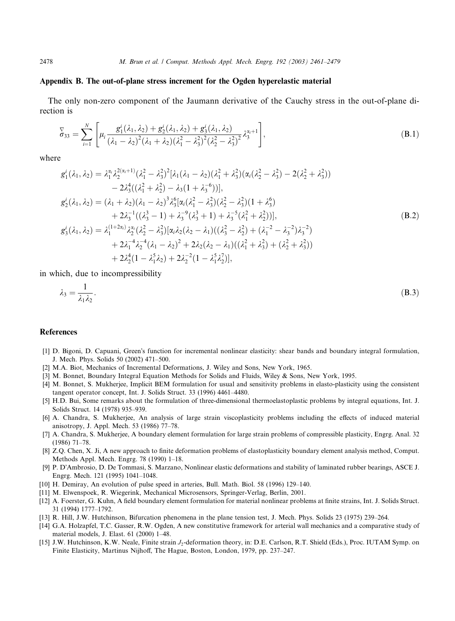## Appendix B. The out-of-plane stress increment for the Ogden hyperelastic material

The only non-zero component of the Jaumann derivative of the Cauchy stress in the out-of-plane direction is

$$
\overline{\delta}_{33} = \sum_{i=1}^{N} \left[ \mu_i \frac{g_1^i(\lambda_1, \lambda_2) + g_2^i(\lambda_1, \lambda_2) + g_3^i(\lambda_1, \lambda_2)}{(\lambda_1 - \lambda_2)^2 (\lambda_1 + \lambda_2) (\lambda_1^2 - \lambda_3^2)^2 (\lambda_2^2 - \lambda_3^2)^2} \lambda_3^{\alpha_i + 1} \right],
$$
\n(B.1)

where

$$
g'_{1}(\lambda_{1},\lambda_{2}) = \lambda_{1}^{\alpha_{i}}\lambda_{2}^{2(\alpha_{i}+1)}(\lambda_{1}^{2} - \lambda_{3}^{2})^{2}[\lambda_{1}(\lambda_{1} - \lambda_{2})(\lambda_{1}^{2} + \lambda_{3}^{2})(\alpha_{i}(\lambda_{2}^{2} - \lambda_{3}^{2}) - 2(\lambda_{2}^{2} + \lambda_{3}^{2}))
$$
  
\n
$$
-2\lambda_{3}^{4}((\lambda_{1}^{2} + \lambda_{2}^{2}) - \lambda_{3}(1 + \lambda_{3}^{-6}))],
$$
  
\n
$$
g'_{2}(\lambda_{1},\lambda_{2}) = (\lambda_{1} + \lambda_{2})(\lambda_{1} - \lambda_{2})^{3}\lambda_{3}^{6}[\alpha_{i}(\lambda_{1}^{2} - \lambda_{3}^{2})(\lambda_{2}^{2} - \lambda_{3}^{2})(1 + \lambda_{3}^{6})
$$
  
\n
$$
+2\lambda_{3}^{-1}((\lambda_{3}^{3} - 1) + \lambda_{3}^{-9}(\lambda_{3}^{3} + 1) + \lambda_{3}^{-5}(\lambda_{1}^{2} + \lambda_{2}^{2}))],
$$
  
\n
$$
g'_{3}(\lambda_{1},\lambda_{2}) = \lambda_{1}^{(1+2\alpha_{i})}\lambda_{2}^{\alpha_{i}}(\lambda_{2}^{2} - \lambda_{3}^{2})[\alpha_{i}\lambda_{2}(\lambda_{2} - \lambda_{1})((\lambda_{3}^{2} - \lambda_{2}^{2}) + (\lambda_{1}^{-2} - \lambda_{3}^{-2})\lambda_{3}^{-2})
$$
  
\n
$$
+2\lambda_{1}^{-4}\lambda_{2}^{-4}(\lambda_{1} - \lambda_{2})^{2} + 2\lambda_{2}(\lambda_{2} - \lambda_{1})((\lambda_{1}^{2} + \lambda_{3}^{2}) + (\lambda_{2}^{2} + \lambda_{3}^{2}))
$$
  
\n
$$
+2\lambda_{2}^{4}(1 - \lambda_{1}^{5}\lambda_{2}) + 2\lambda_{2}^{-2}(1 - \lambda_{1}^{5}\lambda_{2}^{7})],
$$
  
\n(B.2)

in which, due to incompressibility

$$
\lambda_3 = \frac{1}{\lambda_1 \lambda_2}.\tag{B.3}
$$

## References

- [1] D. Bigoni, D. Capuani, Green's function for incremental nonlinear elasticity: shear bands and boundary integral formulation, J. Mech. Phys. Solids 50 (2002) 471–500.
- [2] M.A. Biot, Mechanics of Incremental Deformations, J. Wiley and Sons, New York, 1965.
- [3] M. Bonnet, Boundary Integral Equation Methods for Solids and Fluids, Wiley & Sons, New York, 1995.
- [4] M. Bonnet, S. Mukherjee, Implicit BEM formulation for usual and sensitivity problems in elasto-plasticity usingthe consistent tangent operator concept, Int. J. Solids Struct. 33 (1996) 4461–4480.
- [5] H.D. Bui, Some remarks about the formulation of three-dimensional thermoelastoplastic problems by integral equations, Int. J. Solids Struct. 14 (1978) 935–939.
- [6] A. Chandra, S. Mukherjee, An analysis of large strain viscoplasticity problems including the effects of induced material anisotropy, J. Appl. Mech. 53 (1986) 77–78.
- [7] A. Chandra, S. Mukherjee, A boundary element formulation for large strain problems of compressible plasticity, Engrg. Anal. 32 (1986) 71–78.
- [8] Z.Q. Chen, X. Ji, A new approach to finite deformation problems of elastoplasticity boundary element analysis method, Comput. Methods Appl. Mech. Engrg. 78 (1990) 1–18.
- [9] P. D'Ambrosio, D. De Tommasi, S. Marzano, Nonlinear elastic deformations and stability of laminated rubber bearings, ASCE J. Engrg. Mech. 121 (1995) 1041–1048.
- [10] H. Demiray, An evolution of pulse speed in arteries, Bull. Math. Biol. 58 (1996) 129–140.
- [11] M. Elwenspoek, R. Wiegerink, Mechanical Microsensors, Springer-Verlag, Berlin, 2001.
- [12] A. Foerster, G. Kuhn, A field boundary element formulation for material nonlinear problems at finite strains, Int. J. Solids Struct. 31 (1994) 1777–1792.
- [13] R. Hill, J.W. Hutchinson, Bifurcation phenomena in the plane tension test, J. Mech. Phys. Solids 23 (1975) 239–264.
- [14] G.A. Holzapfel, T.C. Gasser, R.W. Ogden, A new constitutive framework for arterial wall mechanics and a comparative study of material models, J. Elast. 61 (2000) 1–48.
- [15] J.W. Hutchinson, K.W. Neale, Finite strain J<sub>2</sub>-deformation theory, in: D.E. Carlson, R.T. Shield (Eds.), Proc. IUTAM Symp. on Finite Elasticity, Martinus Nijhoff, The Hague, Boston, London, 1979, pp. 237–247.